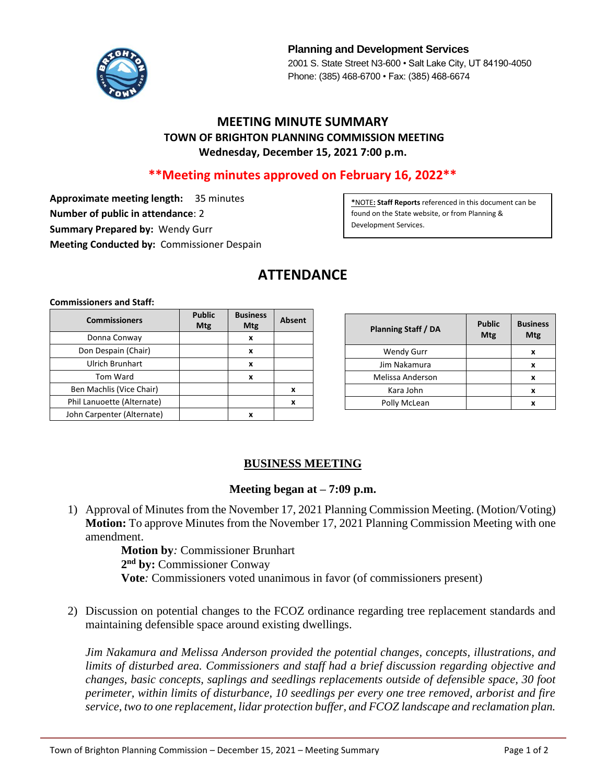

**Planning and Development Services** 2001 S. State Street N3-600 • Salt Lake City, UT 84190-4050 Phone: (385) 468-6700 • Fax: (385) 468-6674

## **MEETING MINUTE SUMMARY TOWN OF BRIGHTON PLANNING COMMISSION MEETING Wednesday, December 15, 2021 7:00 p.m.**

## **\*\*Meeting minutes approved on February 16, 2022\*\***

**Approximate meeting length:** 35 minutes **Number of public in attendance**: 2 **Summary Prepared by:** Wendy Gurr **Meeting Conducted by:** Commissioner Despain

**\***NOTE**: Staff Reports** referenced in this document can be found on the State website, or from Planning & Development Services.

# **ATTENDANCE**

#### **Commissioners and Staff:**

| <b>Commissioners</b>       | <b>Public</b><br><b>Mtg</b> | <b>Business</b><br><b>Mtg</b> | <b>Absent</b> |
|----------------------------|-----------------------------|-------------------------------|---------------|
| Donna Conway               |                             | x                             |               |
| Don Despain (Chair)        |                             | X                             |               |
| Ulrich Brunhart            |                             | x                             |               |
| Tom Ward                   |                             | x                             |               |
| Ben Machlis (Vice Chair)   |                             |                               | x             |
| Phil Lanuoette (Alternate) |                             |                               | x             |
| John Carpenter (Alternate) |                             | x                             |               |

| <b>Planning Staff / DA</b> | <b>Public</b><br>Mtg | <b>Business</b><br>Mtg |
|----------------------------|----------------------|------------------------|
| <b>Wendy Gurr</b>          |                      | x                      |
| Jim Nakamura               |                      | x                      |
| Melissa Anderson           |                      | x                      |
| Kara John                  |                      | x                      |
| Polly McLean               |                      |                        |

## **BUSINESS MEETING**

### **Meeting began at – 7:09 p.m.**

1) Approval of Minutes from the November 17, 2021 Planning Commission Meeting. (Motion/Voting) **Motion:** To approve Minutes from the November 17, 2021 Planning Commission Meeting with one amendment.

**Motion by***:* Commissioner Brunhart **2 nd by:** Commissioner Conway **Vote***:* Commissioners voted unanimous in favor (of commissioners present)

2) Discussion on potential changes to the FCOZ ordinance regarding tree replacement standards and maintaining defensible space around existing dwellings.

*Jim Nakamura and Melissa Anderson provided the potential changes, concepts, illustrations, and limits of disturbed area. Commissioners and staff had a brief discussion regarding objective and changes, basic concepts, saplings and seedlings replacements outside of defensible space, 30 foot perimeter, within limits of disturbance, 10 seedlings per every one tree removed, arborist and fire service, two to one replacement, lidar protection buffer, and FCOZ landscape and reclamation plan.*